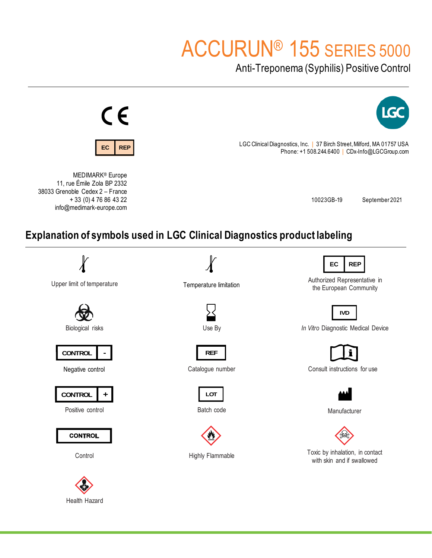# ACCURUN® 155 SERIES 5000

Anti-Treponema (Syphilis) Positive Control